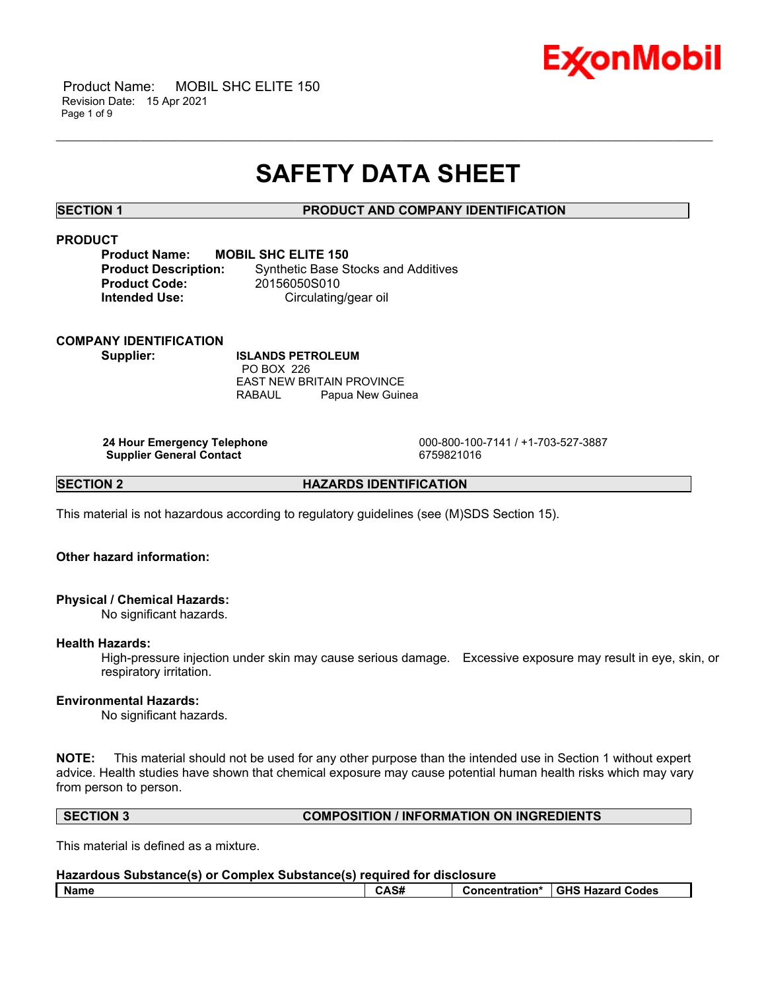

# **SAFETY DATA SHEET**

\_\_\_\_\_\_\_\_\_\_\_\_\_\_\_\_\_\_\_\_\_\_\_\_\_\_\_\_\_\_\_\_\_\_\_\_\_\_\_\_\_\_\_\_\_\_\_\_\_\_\_\_\_\_\_\_\_\_\_\_\_\_\_\_\_\_\_\_\_\_\_\_\_\_\_\_\_\_\_\_\_\_\_\_\_\_\_\_\_\_\_\_\_\_\_\_\_\_\_\_\_\_\_\_\_\_\_\_\_\_\_\_\_\_\_\_\_\_

# **SECTION 1 PRODUCT AND COMPANY IDENTIFICATION**

# **PRODUCT**

| <b>Product Name:</b>       | N |
|----------------------------|---|
| <b>Product Description</b> |   |
| <b>Product Code:</b>       |   |
| <b>Intended Use:</b>       |   |

**PROBIL SHC ELITE 150 Product Base Stocks and Additives Product Code:** 20156050S010 **Circulating/gear oil** 

# **COMPANY IDENTIFICATION**

**Supplier: ISLANDS PETROLEUM** PO BOX 226 EAST NEW BRITAIN PROVINCE RABAUL Papua New Guinea

**Supplier General Contact** 6759821016

 **24 Hour Emergency Telephone** 000-800-100-7141 / +1-703-527-3887

**SECTION 2 HAZARDS IDENTIFICATION** 

This material is not hazardous according to regulatory guidelines (see (M)SDS Section 15).

# **Other hazard information:**

# **Physical / Chemical Hazards:**

No significant hazards.

# **Health Hazards:**

High-pressure injection under skin may cause serious damage. Excessive exposure may result in eye, skin, or respiratory irritation.

# **Environmental Hazards:**

No significant hazards.

**NOTE:** This material should not be used for any other purpose than the intended use in Section 1 without expert advice. Health studies have shown that chemical exposure may cause potential human health risks which may vary from person to person.

# **SECTION 3 COMPOSITION / INFORMATION ON INGREDIENTS**

This material is defined as a mixture.

| Hazardous Substance(s) or Complex Substance(s) required for disclosure |      |  |                                   |  |
|------------------------------------------------------------------------|------|--|-----------------------------------|--|
| l Name                                                                 | CAS# |  | Concentration* I GHS Hazard Codes |  |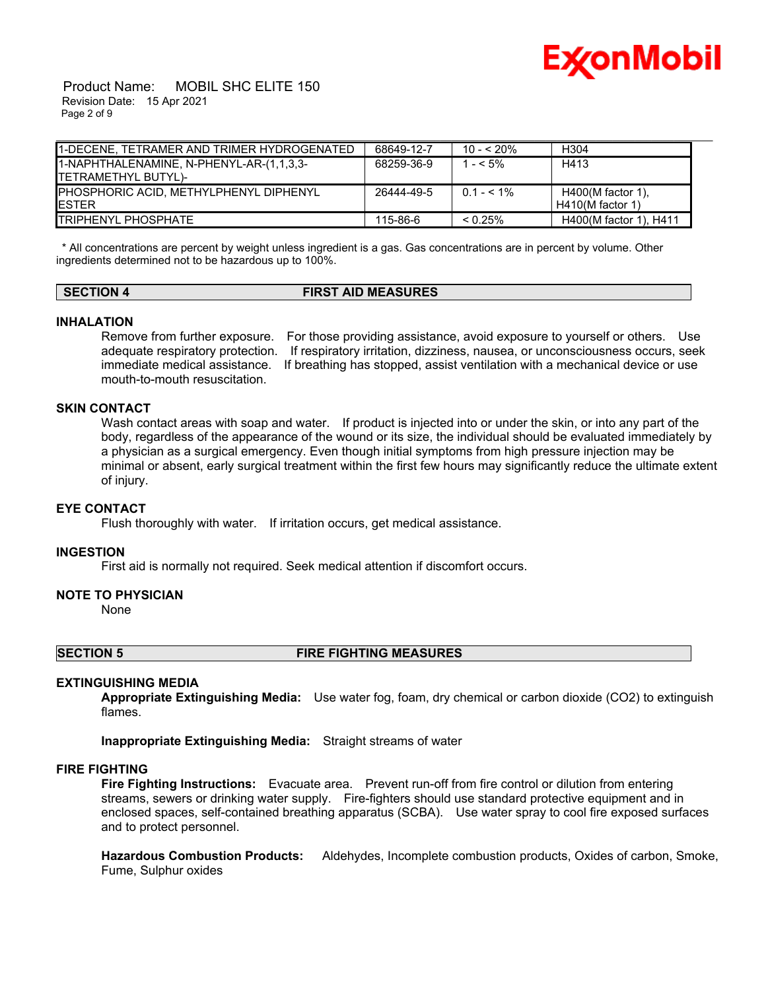

### Product Name: MOBIL SHC ELITE 150 Revision Date: 15 Apr 2021 Page 2 of 9

| 11-DECENE. TETRAMER AND TRIMER HYDROGENATED | 68649-12-7 | $10 - 520%$   | H304                   |
|---------------------------------------------|------------|---------------|------------------------|
| 1-NAPHTHALENAMINE, N-PHENYL-AR-(1,1,3,3-    | 68259-36-9 | $1 - 5\%$     | H413                   |
| ITETRAMETHYL BUTYL)-                        |            |               |                        |
| PHOSPHORIC ACID, METHYLPHENYL DIPHENYL      | 26444-49-5 | $0.1 - 5.1\%$ | $H400(M$ factor 1).    |
| IESTER                                      |            |               | $H410(M$ factor 1)     |
| ITRIPHENYL PHOSPHATE                        | 115-86-6   | $0.25\%$      | H400(M factor 1), H411 |

 \* All concentrations are percent by weight unless ingredient is a gas. Gas concentrations are in percent by volume. Other ingredients determined not to be hazardous up to 100%.

# **SECTION 4 FIRST AID MEASURES**

### **INHALATION**

Remove from further exposure. For those providing assistance, avoid exposure to yourself or others. Use adequate respiratory protection. If respiratory irritation, dizziness, nausea, or unconsciousness occurs, seek immediate medical assistance. If breathing has stopped, assist ventilation with a mechanical device or use mouth-to-mouth resuscitation.

# **SKIN CONTACT**

Wash contact areas with soap and water. If product is injected into or under the skin, or into any part of the body, regardless of the appearance of the wound or its size, the individual should be evaluated immediately by a physician as a surgical emergency. Even though initial symptoms from high pressure injection may be minimal or absent, early surgical treatment within the first few hours may significantly reduce the ultimate extent of injury.

# **EYE CONTACT**

Flush thoroughly with water. If irritation occurs, get medical assistance.

### **INGESTION**

First aid is normally not required. Seek medical attention if discomfort occurs.

# **NOTE TO PHYSICIAN**

None

# **SECTION 5 FIRE FIGHTING MEASURES**

# **EXTINGUISHING MEDIA**

**Appropriate Extinguishing Media:** Use water fog, foam, dry chemical or carbon dioxide (CO2) to extinguish flames.

**Inappropriate Extinguishing Media:** Straight streams of water

# **FIRE FIGHTING**

**Fire Fighting Instructions:** Evacuate area. Prevent run-off from fire control or dilution from entering streams, sewers or drinking water supply. Fire-fighters should use standard protective equipment and in enclosed spaces, self-contained breathing apparatus (SCBA). Use water spray to cool fire exposed surfaces and to protect personnel.

**Hazardous Combustion Products:** Aldehydes, Incomplete combustion products, Oxides of carbon, Smoke, Fume, Sulphur oxides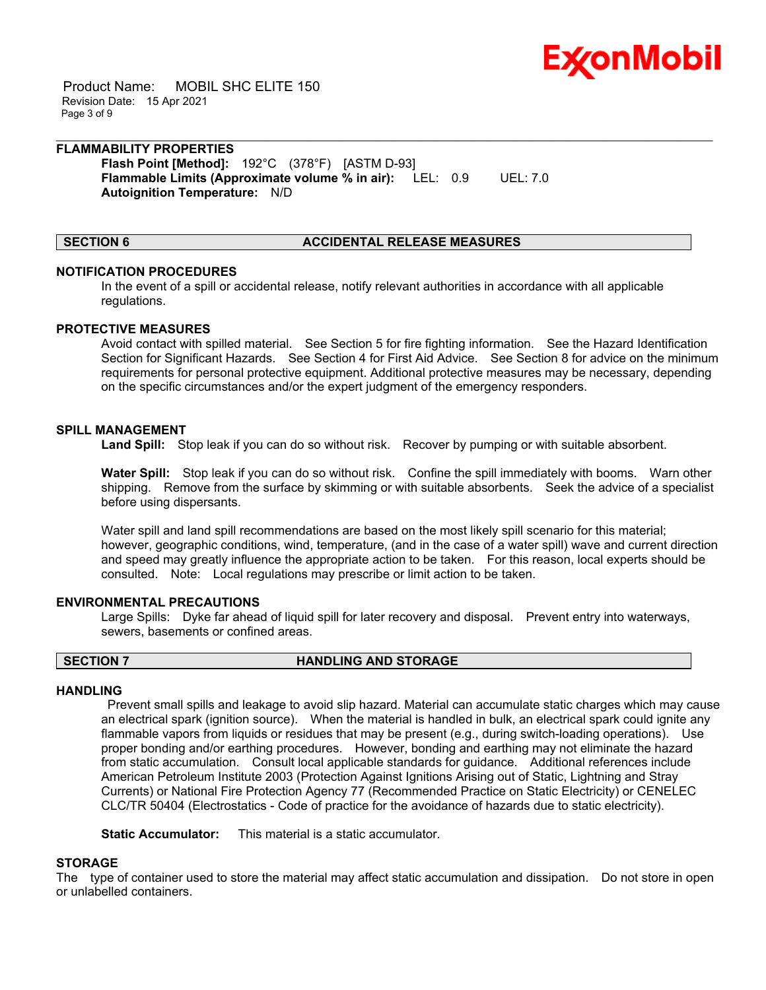

 Product Name: MOBIL SHC ELITE 150 Revision Date: 15 Apr 2021 Page 3 of 9

# **FLAMMABILITY PROPERTIES Flash Point [Method]:** 192°C (378°F) [ASTM D-93]

**Flammable Limits (Approximate volume % in air):** LEL: 0.9 UEL: 7.0 **Autoignition Temperature:** N/D

# **SECTION 6 ACCIDENTAL RELEASE MEASURES**

### **NOTIFICATION PROCEDURES**

In the event of a spill or accidental release, notify relevant authorities in accordance with all applicable regulations.

\_\_\_\_\_\_\_\_\_\_\_\_\_\_\_\_\_\_\_\_\_\_\_\_\_\_\_\_\_\_\_\_\_\_\_\_\_\_\_\_\_\_\_\_\_\_\_\_\_\_\_\_\_\_\_\_\_\_\_\_\_\_\_\_\_\_\_\_\_\_\_\_\_\_\_\_\_\_\_\_\_\_\_\_\_\_\_\_\_\_\_\_\_\_\_\_\_\_\_\_\_\_\_\_\_\_\_\_\_\_\_\_\_\_\_\_\_\_

#### **PROTECTIVE MEASURES**

Avoid contact with spilled material. See Section 5 for fire fighting information. See the Hazard Identification Section for Significant Hazards. See Section 4 for First Aid Advice. See Section 8 for advice on the minimum requirements for personal protective equipment. Additional protective measures may be necessary, depending on the specific circumstances and/or the expert judgment of the emergency responders.

### **SPILL MANAGEMENT**

**Land Spill:** Stop leak if you can do so without risk. Recover by pumping or with suitable absorbent.

**Water Spill:** Stop leak if you can do so without risk. Confine the spill immediately with booms. Warn other shipping. Remove from the surface by skimming or with suitable absorbents. Seek the advice of a specialist before using dispersants.

Water spill and land spill recommendations are based on the most likely spill scenario for this material; however, geographic conditions, wind, temperature, (and in the case of a water spill) wave and current direction and speed may greatly influence the appropriate action to be taken. For this reason, local experts should be consulted. Note: Local regulations may prescribe or limit action to be taken.

#### **ENVIRONMENTAL PRECAUTIONS**

Large Spills: Dyke far ahead of liquid spill for later recovery and disposal. Prevent entry into waterways, sewers, basements or confined areas.

### **SECTION 7 HANDLING AND STORAGE**

#### **HANDLING**

 Prevent small spills and leakage to avoid slip hazard. Material can accumulate static charges which may cause an electrical spark (ignition source). When the material is handled in bulk, an electrical spark could ignite any flammable vapors from liquids or residues that may be present (e.g., during switch-loading operations). Use proper bonding and/or earthing procedures. However, bonding and earthing may not eliminate the hazard from static accumulation. Consult local applicable standards for guidance. Additional references include American Petroleum Institute 2003 (Protection Against Ignitions Arising out of Static, Lightning and Stray Currents) or National Fire Protection Agency 77 (Recommended Practice on Static Electricity) or CENELEC CLC/TR 50404 (Electrostatics - Code of practice for the avoidance of hazards due to static electricity).

**Static Accumulator:** This material is a static accumulator.

# **STORAGE**

The type of container used to store the material may affect static accumulation and dissipation. Do not store in open or unlabelled containers.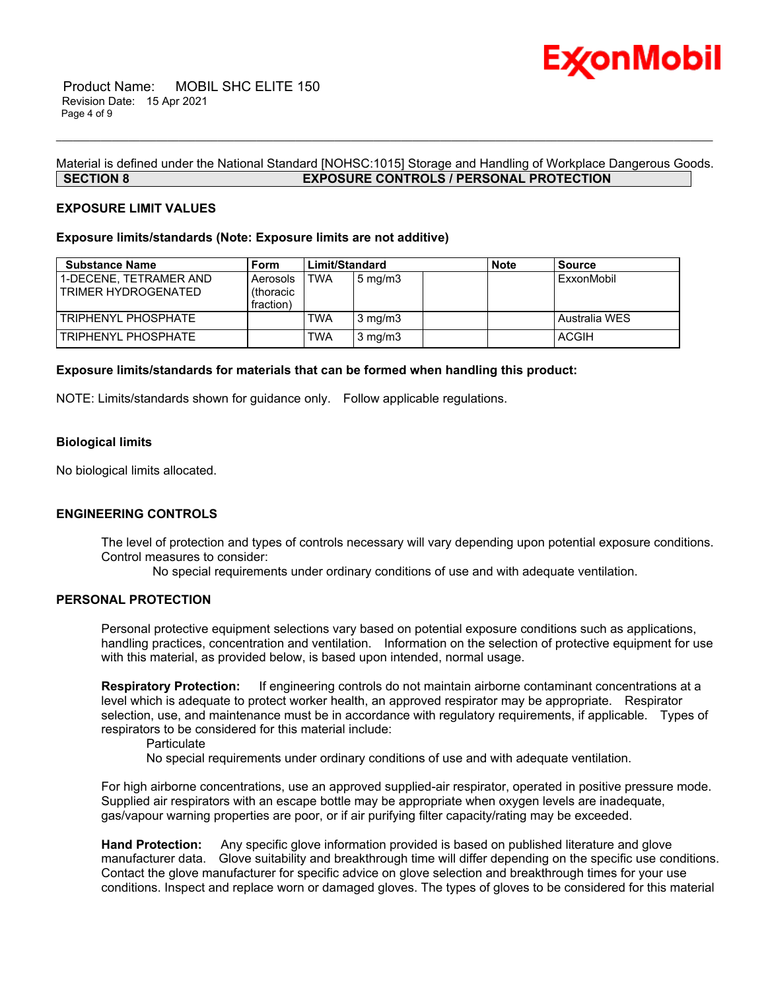

# Material is defined under the National Standard [NOHSC:1015] Storage and Handling of Workplace Dangerous Goods. **SECTION 8 EXPOSURE CONTROLS / PERSONAL PROTECTION**

\_\_\_\_\_\_\_\_\_\_\_\_\_\_\_\_\_\_\_\_\_\_\_\_\_\_\_\_\_\_\_\_\_\_\_\_\_\_\_\_\_\_\_\_\_\_\_\_\_\_\_\_\_\_\_\_\_\_\_\_\_\_\_\_\_\_\_\_\_\_\_\_\_\_\_\_\_\_\_\_\_\_\_\_\_\_\_\_\_\_\_\_\_\_\_\_\_\_\_\_\_\_\_\_\_\_\_\_\_\_\_\_\_\_\_\_\_\_

# **EXPOSURE LIMIT VALUES**

#### **Exposure limits/standards (Note: Exposure limits are not additive)**

| <b>Substance Name</b>                         | Form                               | Limit/Standard |                  | <b>Note</b> | <b>Source</b> |
|-----------------------------------------------|------------------------------------|----------------|------------------|-------------|---------------|
| 1-DECENE. TETRAMER AND<br>TRIMER HYDROGENATED | Aerosols<br>(thoracic<br>fraction) | TWA            | $5 \text{ mg/m}$ |             | ExxonMobil    |
| TRIPHENYL PHOSPHATE                           |                                    | TWA            | $3 \text{ mg/m}$ |             | Australia WES |
| TRIPHENYL PHOSPHATE                           |                                    | TWA            | $3 \text{ mg/m}$ |             | <b>ACGIH</b>  |

### **Exposure limits/standards for materials that can be formed when handling this product:**

NOTE: Limits/standards shown for guidance only. Follow applicable regulations.

### **Biological limits**

No biological limits allocated.

#### **ENGINEERING CONTROLS**

The level of protection and types of controls necessary will vary depending upon potential exposure conditions. Control measures to consider:

No special requirements under ordinary conditions of use and with adequate ventilation.

# **PERSONAL PROTECTION**

Personal protective equipment selections vary based on potential exposure conditions such as applications, handling practices, concentration and ventilation. Information on the selection of protective equipment for use with this material, as provided below, is based upon intended, normal usage.

**Respiratory Protection:** If engineering controls do not maintain airborne contaminant concentrations at a level which is adequate to protect worker health, an approved respirator may be appropriate. Respirator selection, use, and maintenance must be in accordance with regulatory requirements, if applicable. Types of respirators to be considered for this material include:

**Particulate** 

No special requirements under ordinary conditions of use and with adequate ventilation.

For high airborne concentrations, use an approved supplied-air respirator, operated in positive pressure mode. Supplied air respirators with an escape bottle may be appropriate when oxygen levels are inadequate, gas/vapour warning properties are poor, or if air purifying filter capacity/rating may be exceeded.

**Hand Protection:** Any specific glove information provided is based on published literature and glove manufacturer data. Glove suitability and breakthrough time will differ depending on the specific use conditions. Contact the glove manufacturer for specific advice on glove selection and breakthrough times for your use conditions. Inspect and replace worn or damaged gloves. The types of gloves to be considered for this material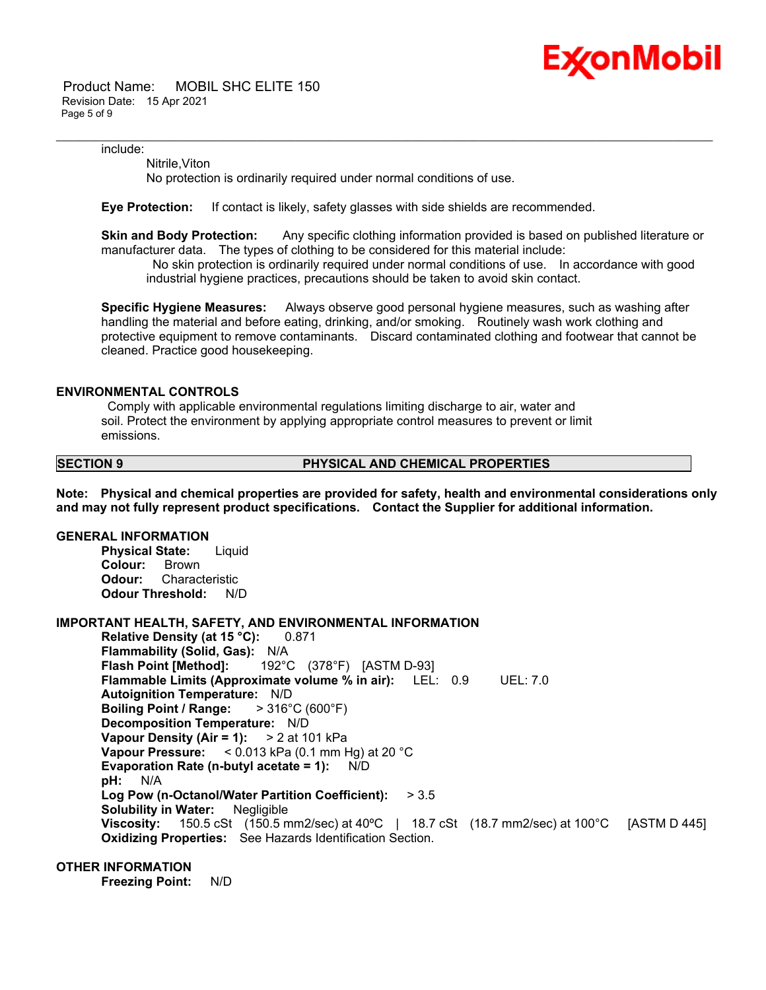

 Product Name: MOBIL SHC ELITE 150 Revision Date: 15 Apr 2021 Page 5 of 9

include:

Nitrile,Viton

No protection is ordinarily required under normal conditions of use.

**Eye Protection:** If contact is likely, safety glasses with side shields are recommended.

**Skin and Body Protection:** Any specific clothing information provided is based on published literature or manufacturer data. The types of clothing to be considered for this material include:

\_\_\_\_\_\_\_\_\_\_\_\_\_\_\_\_\_\_\_\_\_\_\_\_\_\_\_\_\_\_\_\_\_\_\_\_\_\_\_\_\_\_\_\_\_\_\_\_\_\_\_\_\_\_\_\_\_\_\_\_\_\_\_\_\_\_\_\_\_\_\_\_\_\_\_\_\_\_\_\_\_\_\_\_\_\_\_\_\_\_\_\_\_\_\_\_\_\_\_\_\_\_\_\_\_\_\_\_\_\_\_\_\_\_\_\_\_\_

 No skin protection is ordinarily required under normal conditions of use. In accordance with good industrial hygiene practices, precautions should be taken to avoid skin contact.

**Specific Hygiene Measures:** Always observe good personal hygiene measures, such as washing after handling the material and before eating, drinking, and/or smoking. Routinely wash work clothing and protective equipment to remove contaminants. Discard contaminated clothing and footwear that cannot be cleaned. Practice good housekeeping.

### **ENVIRONMENTAL CONTROLS**

 Comply with applicable environmental regulations limiting discharge to air, water and soil. Protect the environment by applying appropriate control measures to prevent or limit emissions.

### **SECTION 9 PHYSICAL AND CHEMICAL PROPERTIES**

**Note: Physical and chemical properties are provided for safety, health and environmental considerations only and may not fully represent product specifications. Contact the Supplier for additional information.**

# **GENERAL INFORMATION**

**Physical State:** Liquid **Colour:** Brown **Odour:** Characteristic **Odour Threshold:** N/D

# **IMPORTANT HEALTH, SAFETY, AND ENVIRONMENTAL INFORMATION**

**Relative Density (at 15 °C):** 0.871 **Flammability (Solid, Gas):** N/A **Flash Point [Method]:** 192°C (378°F) [ASTM D-93] **Flammable Limits (Approximate volume % in air):** LEL: 0.9 UEL: 7.0 **Autoignition Temperature:** N/D **Boiling Point / Range:** > 316°C (600°F) **Decomposition Temperature:** N/D **Vapour Density (Air = 1):** > 2 at 101 kPa **Vapour Pressure:** < 0.013 kPa (0.1 mm Hg) at 20 °C **Evaporation Rate (n-butyl acetate = 1):** N/D **pH:** N/A **Log Pow (n-Octanol/Water Partition Coefficient):** > 3.5 **Solubility in Water:** Negligible **Viscosity:** 150.5 cSt (150.5 mm2/sec) at 40ºC | 18.7 cSt (18.7 mm2/sec) at 100°C [ASTM D 445] **Oxidizing Properties:** See Hazards Identification Section.

# **OTHER INFORMATION**

**Freezing Point:** N/D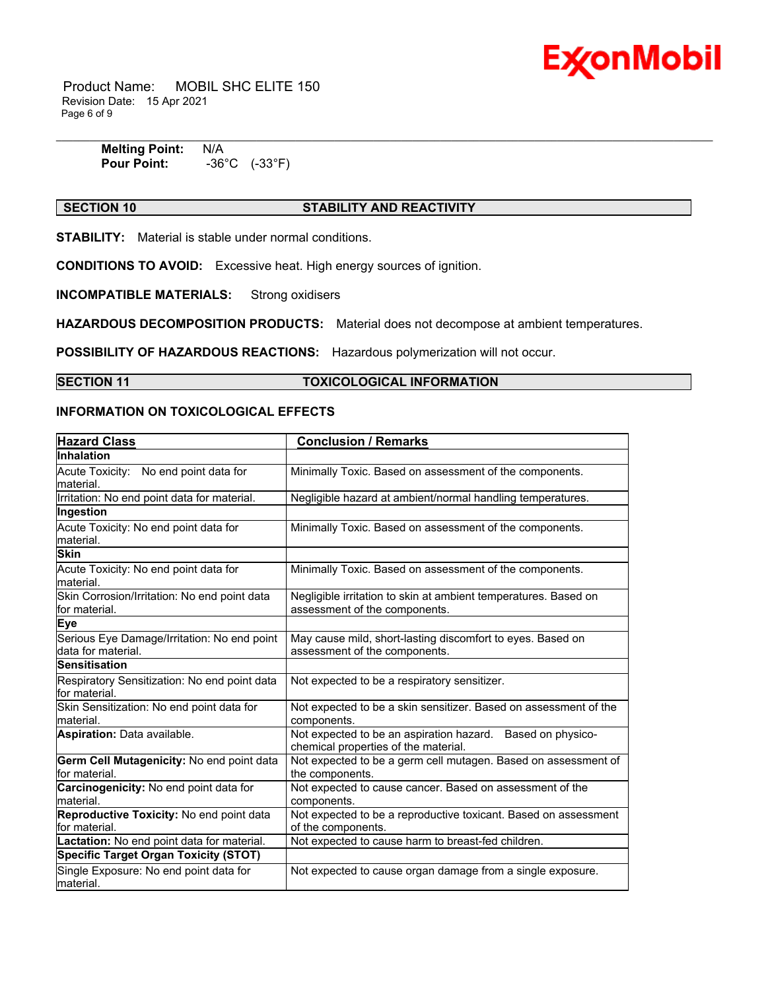

 Product Name: MOBIL SHC ELITE 150 Revision Date: 15 Apr 2021 Page 6 of 9

| <b>Melting Point:</b> | N/A                                 |
|-----------------------|-------------------------------------|
| <b>Pour Point:</b>    | $(-33^{\circ}F)$<br>$-36^{\circ}$ C |

# **SECTION 10 STABILITY AND REACTIVITY**

**STABILITY:** Material is stable under normal conditions.

**CONDITIONS TO AVOID:** Excessive heat. High energy sources of ignition.

**INCOMPATIBLE MATERIALS:** Strong oxidisers

**HAZARDOUS DECOMPOSITION PRODUCTS:** Material does not decompose at ambient temperatures.

**POSSIBILITY OF HAZARDOUS REACTIONS:** Hazardous polymerization will not occur.

# **SECTION 11 TOXICOLOGICAL INFORMATION**

# **INFORMATION ON TOXICOLOGICAL EFFECTS**

| <b>Hazard Class</b>                                               | <b>Conclusion / Remarks</b>                                                                        |
|-------------------------------------------------------------------|----------------------------------------------------------------------------------------------------|
| <b>Inhalation</b>                                                 |                                                                                                    |
| Acute Toxicity: No end point data for<br>material.                | Minimally Toxic. Based on assessment of the components.                                            |
| Irritation: No end point data for material.                       | Negligible hazard at ambient/normal handling temperatures.                                         |
| Ingestion                                                         |                                                                                                    |
| Acute Toxicity: No end point data for<br>material.                | Minimally Toxic. Based on assessment of the components.                                            |
| <b>Skin</b>                                                       |                                                                                                    |
| Acute Toxicity: No end point data for<br>material.                | Minimally Toxic. Based on assessment of the components.                                            |
| Skin Corrosion/Irritation: No end point data<br>lfor material.    | Negligible irritation to skin at ambient temperatures. Based on<br>assessment of the components.   |
| Eye                                                               |                                                                                                    |
| Serious Eye Damage/Irritation: No end point<br>data for material. | May cause mild, short-lasting discomfort to eyes. Based on<br>assessment of the components.        |
| <b>Sensitisation</b>                                              |                                                                                                    |
| Respiratory Sensitization: No end point data<br>for material.     | Not expected to be a respiratory sensitizer.                                                       |
| Skin Sensitization: No end point data for<br>material.            | Not expected to be a skin sensitizer. Based on assessment of the<br>components.                    |
| Aspiration: Data available.                                       | Not expected to be an aspiration hazard. Based on physico-<br>chemical properties of the material. |
| Germ Cell Mutagenicity: No end point data<br>lfor material.       | Not expected to be a germ cell mutagen. Based on assessment of<br>the components.                  |
| Carcinogenicity: No end point data for<br>material.               | Not expected to cause cancer. Based on assessment of the<br>components.                            |
| Reproductive Toxicity: No end point data<br>for material.         | Not expected to be a reproductive toxicant. Based on assessment<br>of the components.              |
| Lactation: No end point data for material.                        | Not expected to cause harm to breast-fed children.                                                 |
| <b>Specific Target Organ Toxicity (STOT)</b>                      |                                                                                                    |
| Single Exposure: No end point data for<br>material.               | Not expected to cause organ damage from a single exposure.                                         |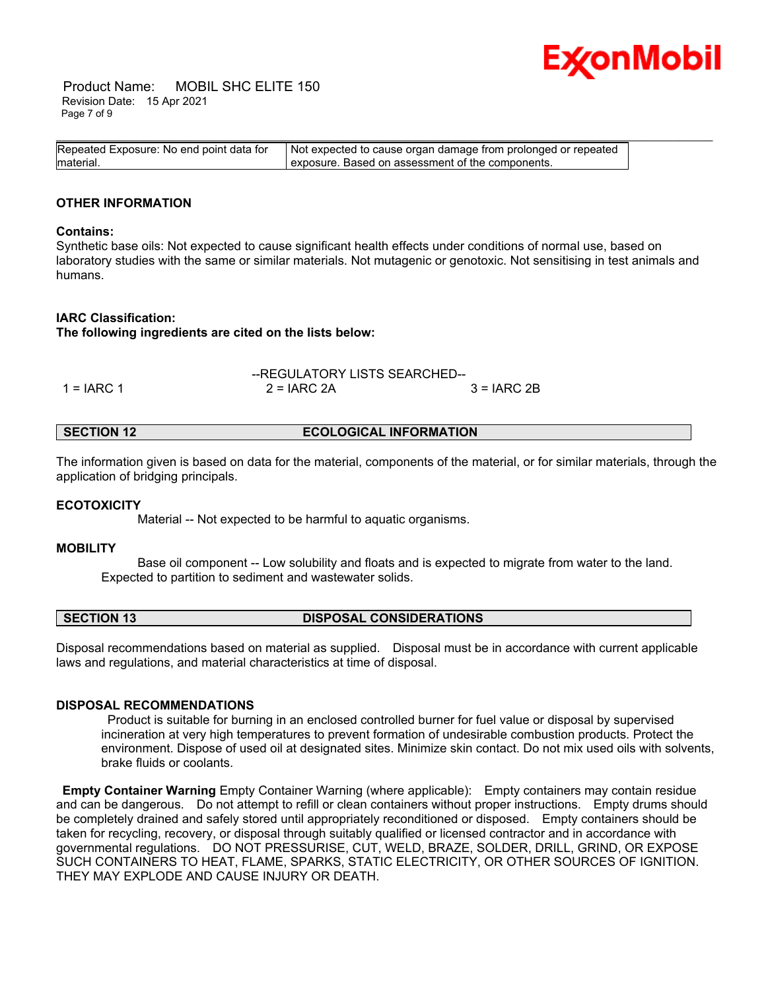

 Product Name: MOBIL SHC ELITE 150 Revision Date: 15 Apr 2021 Page 7 of 9

| Repeated Exposure: No end point data for | Not expected to cause organ damage from prolonged or repeated |  |
|------------------------------------------|---------------------------------------------------------------|--|
| material.                                | exposure. Based on assessment of the components.              |  |

# **OTHER INFORMATION**

#### **Contains:**

Synthetic base oils: Not expected to cause significant health effects under conditions of normal use, based on laboratory studies with the same or similar materials. Not mutagenic or genotoxic. Not sensitising in test animals and humans.

#### **IARC Classification:**

**The following ingredients are cited on the lists below:**

|              | --REGULATORY LISTS SEARCHED-- |               |
|--------------|-------------------------------|---------------|
| $1 = IARC 1$ | $2 = IARC 2A$                 | $3 = IARC 2B$ |

| <b>ECOLOGICAL INFORMATION</b><br>SECTION 12 |
|---------------------------------------------|
|---------------------------------------------|

The information given is based on data for the material, components of the material, or for similar materials, through the application of bridging principals.

#### **ECOTOXICITY**

Material -- Not expected to be harmful to aquatic organisms.

#### **MOBILITY**

 Base oil component -- Low solubility and floats and is expected to migrate from water to the land. Expected to partition to sediment and wastewater solids.

# **SECTION 13 DISPOSAL CONSIDERATIONS**

Disposal recommendations based on material as supplied. Disposal must be in accordance with current applicable laws and regulations, and material characteristics at time of disposal.

### **DISPOSAL RECOMMENDATIONS**

 Product is suitable for burning in an enclosed controlled burner for fuel value or disposal by supervised incineration at very high temperatures to prevent formation of undesirable combustion products. Protect the environment. Dispose of used oil at designated sites. Minimize skin contact. Do not mix used oils with solvents, brake fluids or coolants.

**Empty Container Warning** Empty Container Warning (where applicable): Empty containers may contain residue and can be dangerous. Do not attempt to refill or clean containers without proper instructions. Empty drums should be completely drained and safely stored until appropriately reconditioned or disposed. Empty containers should be taken for recycling, recovery, or disposal through suitably qualified or licensed contractor and in accordance with governmental regulations. DO NOT PRESSURISE, CUT, WELD, BRAZE, SOLDER, DRILL, GRIND, OR EXPOSE SUCH CONTAINERS TO HEAT, FLAME, SPARKS, STATIC ELECTRICITY, OR OTHER SOURCES OF IGNITION. THEY MAY EXPLODE AND CAUSE INJURY OR DEATH.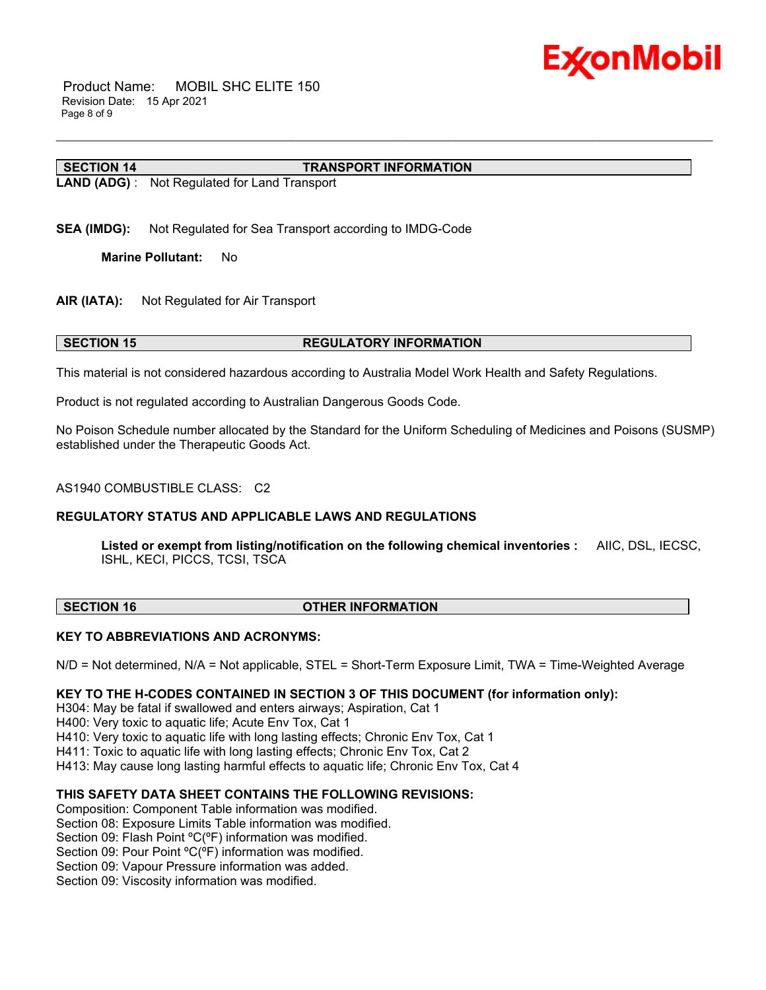

 Product Name: MOBIL SHC ELITE 150 Revision Date: 15 Apr 2021 Page 8 of 9

#### **SECTION 14 TRANSPORT INFORMATION**

**LAND (ADG)** : Not Regulated for Land Transport

**SEA (IMDG):** Not Regulated for Sea Transport according to IMDG-Code

**Marine Pollutant:** No

**AIR (IATA):** Not Regulated for Air Transport

### **SECTION 15 REGULATORY INFORMATION**

This material is not considered hazardous according to Australia Model Work Health and Safety Regulations.

Product is not regulated according to Australian Dangerous Goods Code.

No Poison Schedule number allocated by the Standard for the Uniform Scheduling of Medicines and Poisons (SUSMP) established under the Therapeutic Goods Act.

\_\_\_\_\_\_\_\_\_\_\_\_\_\_\_\_\_\_\_\_\_\_\_\_\_\_\_\_\_\_\_\_\_\_\_\_\_\_\_\_\_\_\_\_\_\_\_\_\_\_\_\_\_\_\_\_\_\_\_\_\_\_\_\_\_\_\_\_\_\_\_\_\_\_\_\_\_\_\_\_\_\_\_\_\_\_\_\_\_\_\_\_\_\_\_\_\_\_\_\_\_\_\_\_\_\_\_\_\_\_\_\_\_\_\_\_\_\_

#### AS1940 COMBUSTIBLE CLASS: C2

# **REGULATORY STATUS AND APPLICABLE LAWS AND REGULATIONS**

**Listed or exempt from listing/notification on the following chemical inventories :** AIIC, DSL, IECSC, ISHL, KECI, PICCS, TCSI, TSCA

#### **SECTION 16 OTHER INFORMATION**

#### **KEY TO ABBREVIATIONS AND ACRONYMS:**

N/D = Not determined, N/A = Not applicable, STEL = Short-Term Exposure Limit, TWA = Time-Weighted Average

#### **KEY TO THE H-CODES CONTAINED IN SECTION 3 OF THIS DOCUMENT (for information only):**

H304: May be fatal if swallowed and enters airways; Aspiration, Cat 1

H400: Very toxic to aquatic life; Acute Env Tox, Cat 1

H410: Very toxic to aquatic life with long lasting effects; Chronic Env Tox, Cat 1

H411: Toxic to aquatic life with long lasting effects; Chronic Env Tox, Cat 2

H413: May cause long lasting harmful effects to aquatic life; Chronic Env Tox, Cat 4

# **THIS SAFETY DATA SHEET CONTAINS THE FOLLOWING REVISIONS:**

Composition: Component Table information was modified.

Section 08: Exposure Limits Table information was modified.

Section 09: Flash Point °C(°F) information was modified.

Section 09: Pour Point °C(°F) information was modified.

Section 09: Vapour Pressure information was added.

Section 09: Viscosity information was modified.